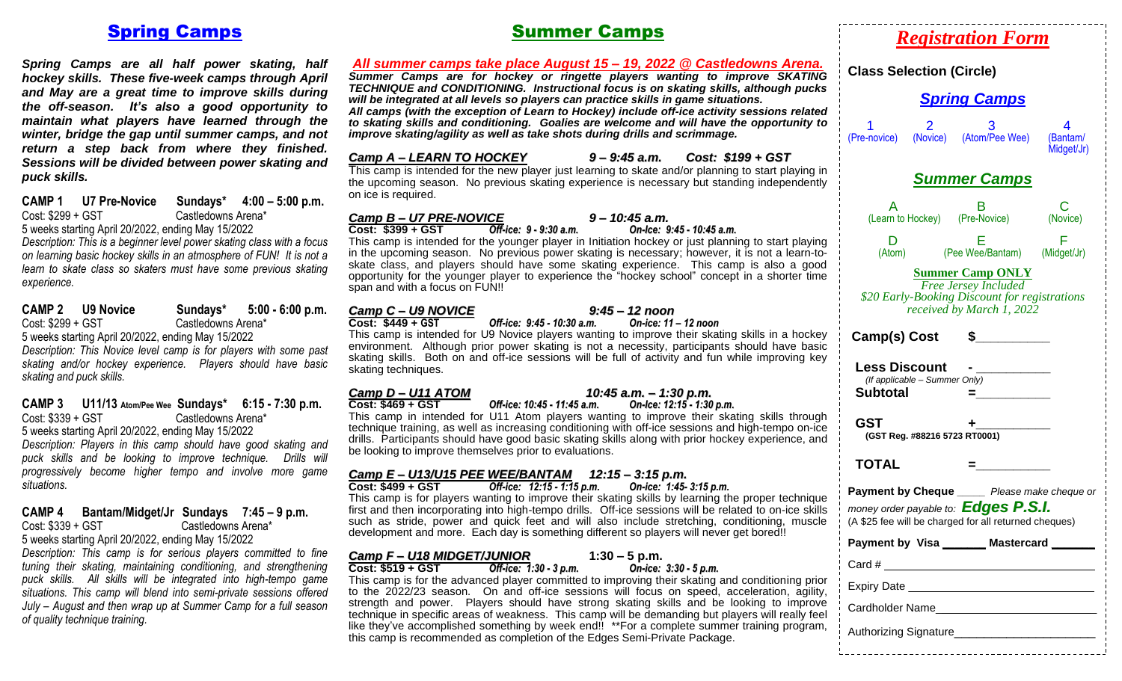#### Spring Camps

 *Spring Camps are all half power skating, half hockey skills. These five-week camps through April and May are a great time to improve skills during the off-season. It's also a good opportunity to maintain what players have learned through the winter, bridge the gap until summer camps, and not return a step back from where they finished. Sessions will be divided between power skating and puck skills.*

**CAMP 1 U7 Pre-Novice Sundays\* 4:00 – 5:00 p.m.**  Castledowns Arena\* 5 weeks starting April 20/2022, ending May 15/2022

*Description: This is a beginner level power skating class with a focus on learning basic hockey skills in an atmosphere of FUN! It is not a learn to skate class so skaters must have some previous skating experience.*

| <b>CAMP 2</b>                                      | <b>U9 Novice</b> | Sundays*           | $5:00 - 6:00 p.m.$ |  |  |
|----------------------------------------------------|------------------|--------------------|--------------------|--|--|
| Cost: \$299 + GST                                  |                  | Castledowns Arena* |                    |  |  |
| 5 weeks starting April 20/2022, ending May 15/2022 |                  |                    |                    |  |  |

*Description: This Novice level camp is for players with some past skating and/or hockey experience. Players should have basic skating and puck skills.*

#### **CAMP 3 U11/13 Atom/Pee Wee Sundays\* 6:15 - 7:30 p.m.** Castledowns Arena\* 5 weeks starting April 20/2022, ending May 15/2022

*Description: Players in this camp should have good skating and puck skills and be looking to improve technique. Drills will progressively become higher tempo and involve more game situations.* 

#### **CAMP 4 Bantam/Midget/Jr Sundays 7:45 – 9 p.m.** Castledowns Arena\* 5 weeks starting April 20/2022, ending May 15/2022

*Description: This camp is for serious players committed to fine tuning their skating, maintaining conditioning, and strengthening puck skills. All skills will be integrated into high-tempo game situations. This camp will blend into semi-private sessions offered July – August and then wrap up at Summer Camp for a full season of quality technique training.*

## Summer Camps

| All summer camps take place August 15 - 19, 2022 @ Castledowns Arena.<br>Summer Camps are for hockey or ringette players wanting to improve SKATING<br><b>TECHNIQUE and CONDITIONING.</b> Instructional focus is on skating skills, although pucks<br>will be integrated at all levels so players can practice skills in game situations.<br>All camps (with the exception of Learn to Hockey) include off-ice activity sessions related<br>to skating skills and conditioning. Goalies are welcome and will have the opportunity to<br>improve skating/agility as well as take shots during drills and scrimmage.                                                                                         | <b>Class Selection (Circle)</b><br><b>Spring Camps</b><br>2<br>4<br>(Atom/Pee Wee)<br>(Pre-novice)<br>(Novice)<br>(Bantam/                                                                                                          |
|------------------------------------------------------------------------------------------------------------------------------------------------------------------------------------------------------------------------------------------------------------------------------------------------------------------------------------------------------------------------------------------------------------------------------------------------------------------------------------------------------------------------------------------------------------------------------------------------------------------------------------------------------------------------------------------------------------|-------------------------------------------------------------------------------------------------------------------------------------------------------------------------------------------------------------------------------------|
| $9 - 9:45$ a.m.<br>Camp A – LEARN TO HOCKEY<br>Cost: \$199 + GST<br>This camp is intended for the new player just learning to skate and/or planning to start playing in<br>the upcoming season. No previous skating experience is necessary but standing independently<br>on ice is required.                                                                                                                                                                                                                                                                                                                                                                                                              | Midget/Jr)<br><b>Summer Camps</b>                                                                                                                                                                                                   |
| <b>Camp B - U7 PRE-NOVICE</b><br>$9 - 10:45$ a.m.<br>$Cost: $399 + GST$<br>Off-ice: 9 - 9:30 a.m.<br>On-Ice: 9:45 - 10:45 a.m.<br>This camp is intended for the younger player in Initiation hockey or just planning to start playing<br>in the upcoming season. No previous power skating is necessary; however, it is not a learn-to-<br>skate class, and players should have some skating experience. This camp is also a good<br>opportunity for the younger player to experience the "hockey school" concept in a shorter time<br>span and with a focus on FUN!!                                                                                                                                      | С<br>B<br>A<br>(Learn to Hockey)<br>(Pre-Novice)<br>(Novice)<br>F<br>D<br>Е<br>(Pee Wee/Bantam)<br>(Atom)<br>(Midget/Jr)<br><b>Summer Camp ONLY</b><br><b>Free Jersey Included</b><br>\$20 Early-Booking Discount for registrations |
| Camp C - U9 NOVICE<br>$9:45 - 12$ noon<br>Cost: \$449 + GST<br>Off-ice: 9:45 - 10:30 a.m.<br>On-ice: 11 - 12 noon<br>This camp is intended for U9 Novice players wanting to improve their skating skills in a hockey<br>environment. Although prior power skating is not a necessity, participants should have basic<br>skating skills. Both on and off-ice sessions will be full of activity and fun while improving key<br>skating techniques.                                                                                                                                                                                                                                                           | received by March 1, 2022<br>Camp(s) Cost<br>S.<br><b>Less Discount</b><br>(If applicable - Summer Only)                                                                                                                            |
| Camp D - U11 ATOM<br>10:45 a.m. - 1:30 p.m.<br>$Cost: $469 + GST$<br>Off-ice: 10:45 - 11:45 a.m.<br>On-Ice: 12:15 - 1:30 p.m.<br>This camp in intended for U11 Atom players wanting to improve their skating skills through<br>technique training, as well as increasing conditioning with off-ice sessions and high-tempo on-ice<br>drills. Participants should have good basic skating skills along with prior hockey experience, and<br>be looking to improve themselves prior to evaluations.                                                                                                                                                                                                          | <b>Subtotal</b><br>$=$<br><b>GST</b><br>(GST Reg. #88216 5723 RT0001)                                                                                                                                                               |
| Camp E - U13/U15 PEE WEE/BANTAM 12:15 - 3:15 p.m.<br>Off-ice: 12:15 - 1:15 p.m.<br>Cost: \$499 + GST<br>On-ice: 1:45- 3:15 p.m.<br>This camp is for players wanting to improve their skating skills by learning the proper technique<br>first and then incorporating into high-tempo drills. Off-ice sessions will be related to on-ice skills<br>such as stride, power and quick feet and will also include stretching, conditioning, muscle<br>development and more. Each day is something different so players will never get bored!!                                                                                                                                                                   | <b>TOTAL</b><br>Payment by Cheque _____ Please make cheque or<br>money order payable to: <b>Edges P.S.I.</b><br>(A \$25 fee will be charged for all returned cheques)                                                               |
| <b>Camp F- U18 MIDGET/JUNIOR</b><br>$1:30 - 5$ p.m.<br>Off-ice: 1:30 - 3 p.m.<br>On-ice: 3:30 - 5 p.m.<br>$Cost: $519 + GST$<br>This camp is for the advanced player committed to improving their skating and conditioning prior<br>to the 2022/23 season. On and off-ice sessions will focus on speed, acceleration, agility,<br>strength and power. Players should have strong skating skills and be looking to improve<br>technique in specific areas of weakness. This camp will be demanding but players will really feel<br>like they've accomplished something by week end!! **For a complete summer training program,<br>this camp is recommended as completion of the Edges Semi-Private Package. | Payment by Visa _______ Mastercard __<br>Cardholder Name                                                                                                                                                                            |

*Registration Form*